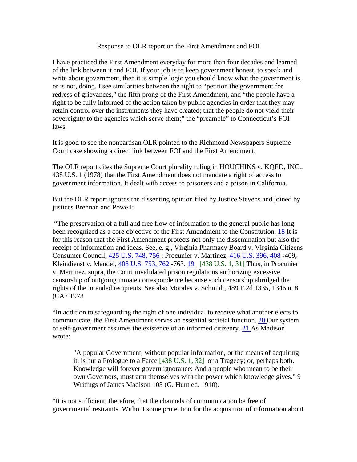## Response to OLR report on the First Amendment and FOI

I have practiced the First Amendment everyday for more than four decades and learned of the link between it and FOI. If your job is to keep government honest, to speak and write about government, then it is simple logic you should know what the government is, or is not, doing. I see similarities between the right to "petition the government for redress of grievances," the fifth prong of the First Amendment, and "the people have a right to be fully informed of the action taken by public agencies in order that they may retain control over the instruments they have created; that the people do not yield their sovereignty to the agencies which serve them;" the "preamble" to Connecticut's FOI laws.

It is good to see the nonpartisan OLR pointed to the Richmond Newspapers Supreme Court case showing a direct link between FOI and the First Amendment.

The OLR report cites the Supreme Court plurality ruling in HOUCHINS v. KQED, INC., 438 U.S. 1 (1978) that the First Amendment does not mandate a right of access to government information. It dealt with access to prisoners and a prison in California.

But the OLR report ignores the dissenting opinion filed by Justice Stevens and joined by justices Brennan and Powell:

"The preservation of a full and free flow of information to the general public has long been recognized as a core objective of the First Amendment to the Constitution. [18 I](http://caselaw.lp.findlaw.com/scripts/getcase.pl?court=US&vol=438&invol=1#f18)t is for this reason that the First Amendment protects not only the dissemination but also the receipt of information and ideas. See, e. g., Virginia Pharmacy Board v. Virginia Citizens Consumer Council, [425 U.S. 748, 756 ;](http://caselaw.lp.findlaw.com/cgi-bin/getcase.pl?navby=case&court=us&vol=425&invol=748#756) Procunier v. Martinez, [416 U.S. 396, 408 -](http://caselaw.lp.findlaw.com/cgi-bin/getcase.pl?navby=case&court=us&vol=416&invol=396#408)409; Kleindienst v. Mandel, [408 U.S. 753, 762 -](http://caselaw.lp.findlaw.com/cgi-bin/getcase.pl?navby=case&court=us&vol=408&invol=753#762)763. [19](http://caselaw.lp.findlaw.com/scripts/getcase.pl?court=US&vol=438&invol=1#f19) [438 U.S. 1, 31] Thus, in Procunier v. Martinez, supra, the Court invalidated prison regulations authorizing excessive censorship of outgoing inmate correspondence because such censorship abridged the rights of the intended recipients. See also Morales v. Schmidt, 489 F.2d 1335, 1346 n. 8 (CA7 1973

"In addition to safeguarding the right of one individual to receive what another elects to communicate, the First Amendment serves an essential societal function. [20 O](http://caselaw.lp.findlaw.com/scripts/getcase.pl?court=US&vol=438&invol=1#f20)ur system of self-government assumes the existence of an informed citizenry. [21 A](http://caselaw.lp.findlaw.com/scripts/getcase.pl?court=US&vol=438&invol=1#f21)s Madison wrote:

"A popular Government, without popular information, or the means of acquiring it, is but a Prologue to a Farce [438 U.S. 1, 32] or a Tragedy; or, perhaps both. Knowledge will forever govern ignorance: And a people who mean to be their own Governors, must arm themselves with the power which knowledge gives." 9 Writings of James Madison 103 (G. Hunt ed. 1910).

"It is not sufficient, therefore, that the channels of communication be free of governmental restraints. Without some protection for the acquisition of information about